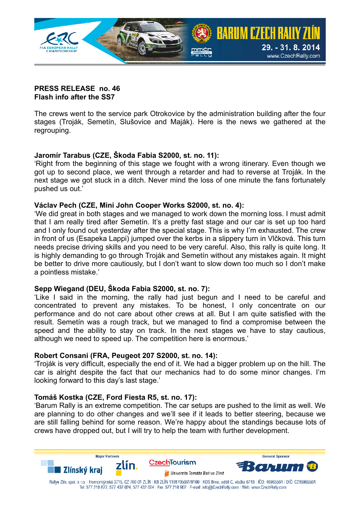

## **PRESS RELEASE no. 46 Flash info after the SS7**

The crews went to the service park Otrokovice by the administration building after the four stages (Troják, Semetín, Slušovice and Maják). Here is the news we gathered at the regrouping.

## **Jaromír Tarabus (CZE, Škoda Fabia S2000, st. no. 11):**

'Right from the beginning of this stage we fought with a wrong itinerary. Even though we got up to second place, we went through a retarder and had to reverse at Troják. In the next stage we got stuck in a ditch. Never mind the loss of one minute the fans fortunately pushed us out.'

## **Václav Pech (CZE, Mini John Cooper Works S2000, st. no. 4):**

'We did great in both stages and we managed to work down the morning loss. I must admit that I am really tired after Semetín. It's a pretty fast stage and our car is set up too hard and I only found out yesterday after the special stage. This is why I'm exhausted. The crew in front of us (Esapeka Lappi) jumped over the kerbs in a slippery turn in Vlčková. This turn needs precise driving skills and you need to be very careful. Also, this rally is quite long. It is highly demanding to go through Troják and Semetín without any mistakes again. It might be better to drive more cautiously, but I don't want to slow down too much so I don't make a pointless mistake.'

## **Sepp Wiegand (DEU, Škoda Fabia S2000, st. no. 7):**

'Like I said in the morning, the rally had just begun and I need to be careful and concentrated to prevent any mistakes. To be honest, I only concentrate on our performance and do not care about other crews at all. But I am quite satisfied with the result. Semetín was a rough track, but we managed to find a compromise between the speed and the ability to stay on track. In the next stages we have to stay cautious, although we need to speed up. The competition here is enormous.'

## **Robert Consani (FRA, Peugeot 207 S2000, st. no. 14):**

'Troják is very difficult, especially the end of it. We had a bigger problem up on the hill. The car is alright despite the fact that our mechanics had to do some minor changes. I'm looking forward to this day's last stage.'

# **Tomáš Kostka (CZE, Ford Fiesta R5, st. no. 17):**

'Barum Rally is an extreme competition. The car setups are pushed to the limit as well. We are planning to do other changes and we'll see if it leads to better steering, because we are still falling behind for some reason. We're happy about the standings because lots of crews have dropped out, but I will try to help the team with further development.